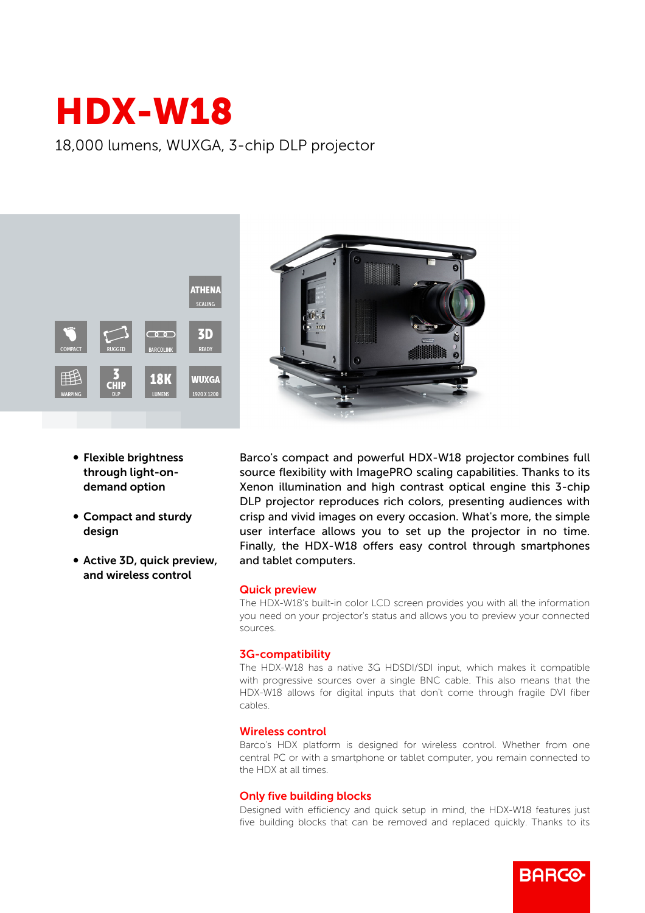# HDX-W18

18,000 lumens, WUXGA, 3-chip DLP projector



- Flexible brightness through light-ondemand option
- Compact and sturdy design
- Active 3D, quick preview, and wireless control

Barco's compact and powerful HDX-W18 projector combines full source flexibility with ImagePRO scaling capabilities. Thanks to its Xenon illumination and high contrast optical engine this 3-chip DLP projector reproduces rich colors, presenting audiences with crisp and vivid images on every occasion. What's more, the simple user interface allows you to set up the projector in no time. Finally, the HDX-W18 offers easy control through smartphones and tablet computers.

## Quick preview

The HDX-W18's built-in color LCD screen provides you with all the information you need on your projector's status and allows you to preview your connected sources.

## 3G-compatibility

The HDX-W18 has a native 3G HDSDI/SDI input, which makes it compatible with progressive sources over a single BNC cable. This also means that the HDX-W18 allows for digital inputs that don't come through fragile DVI fiber cables.

#### Wireless control

Barco's HDX platform is designed for wireless control. Whether from one central PC or with a smartphone or tablet computer, you remain connected to the HDX at all times.

#### Only five building blocks

Designed with efficiency and quick setup in mind, the HDX-W18 features just five building blocks that can be removed and replaced quickly. Thanks to its

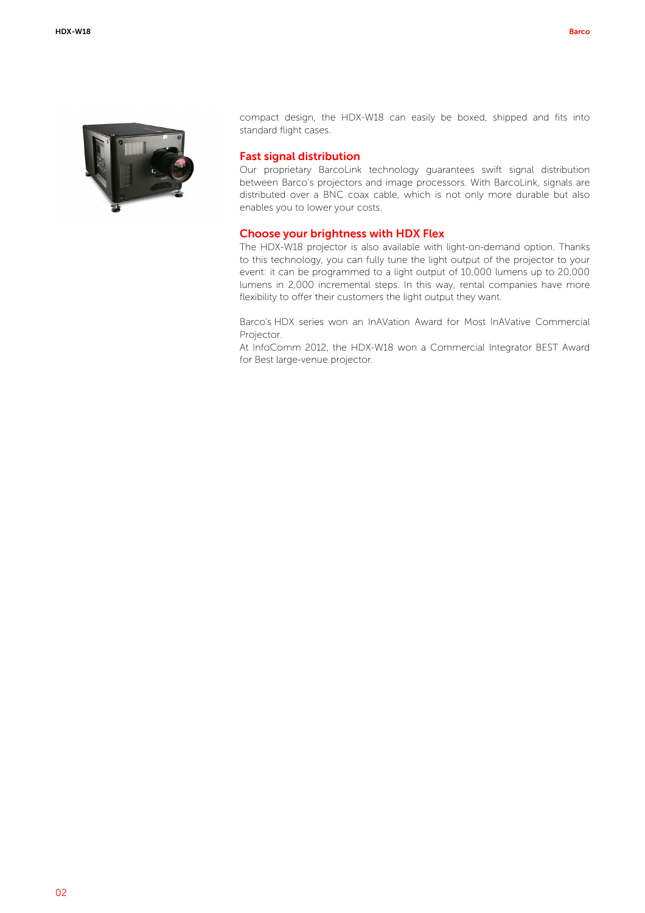

compact design, the HDX-W18 can easily be boxed, shipped and fits into standard flight cases.

## Fast signal distribution

Our proprietary BarcoLink technology guarantees swift signal distribution between Barco's projectors and image processors. With BarcoLink, signals are distributed over a BNC coax cable, which is not only more durable but also enables you to lower your costs.

#### Choose your brightness with HDX Flex

The HDX-W18 projector is also available with light-on-demand option. Thanks to this technology, you can fully tune the light output of the projector to your event: it can be programmed to a light output of 10,000 lumens up to 20,000 lumens in 2,000 incremental steps. In this way, rental companies have more flexibility to offer their customers the light output they want.

Barco's HDX series won an InAVation Award for Most InAVative Commercial Projector.

At InfoComm 2012, the HDX-W18 won a Commercial Integrator BEST Award for Best large-venue projector.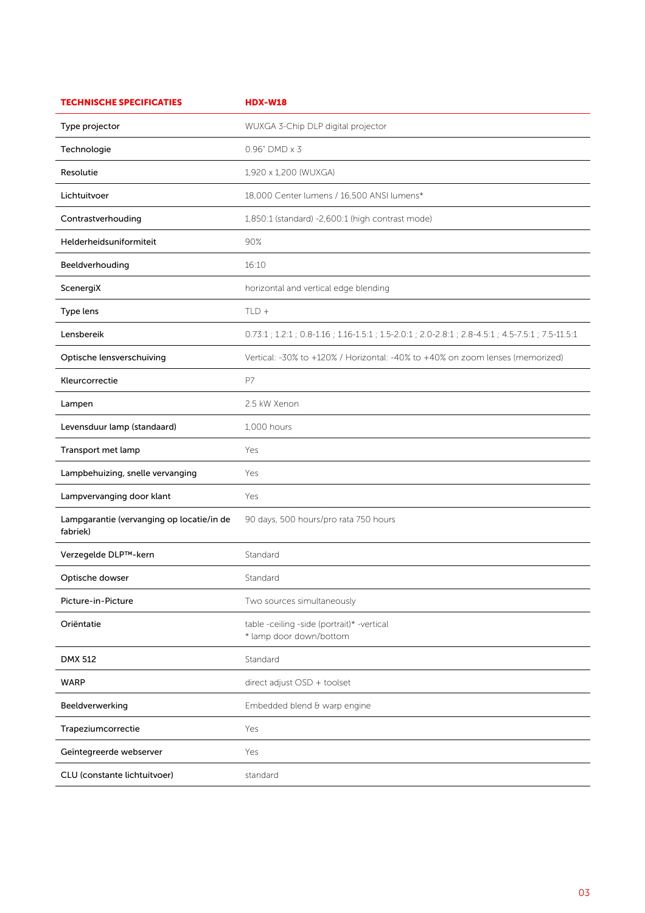| <b>TECHNISCHE SPECIFICATIES</b>                       | <b>HDX-W18</b>                                                                                      |
|-------------------------------------------------------|-----------------------------------------------------------------------------------------------------|
| Type projector                                        | WUXGA 3-Chip DLP digital projector                                                                  |
| Technologie                                           | $0.96"$ DMD $\times$ 3                                                                              |
| Resolutie                                             | 1,920 x 1,200 (WUXGA)                                                                               |
| Lichtuitvoer                                          | 18,000 Center lumens / 16,500 ANSI lumens*                                                          |
| Contrastverhouding                                    | 1,850:1 (standard) -2,600:1 (high contrast mode)                                                    |
| Helderheidsuniformiteit                               | 90%                                                                                                 |
| Beeldverhouding                                       | 16:10                                                                                               |
| ScenergiX                                             | horizontal and vertical edge blending                                                               |
| Type lens                                             | $TLD +$                                                                                             |
| Lensbereik                                            | 0.73:1 ; 1.2:1 ; 0.8-1.16 ; 1.16-1.5:1 ; 1.5-2.0:1 ; 2.0-2.8:1 ; 2.8-4.5:1 ; 4.5-7.5:1 ; 7.5-11.5:1 |
| Optische lensverschuiving                             | Vertical: -30% to +120% / Horizontal: -40% to +40% on zoom lenses (memorized)                       |
| Kleurcorrectie                                        | P7                                                                                                  |
| Lampen                                                | 2.5 kW Xenon                                                                                        |
| Levensduur lamp (standaard)                           | 1,000 hours                                                                                         |
| Transport met lamp                                    | Yes                                                                                                 |
| Lampbehuizing, snelle vervanging                      | Yes                                                                                                 |
| Lampvervanging door klant                             | Yes                                                                                                 |
| Lampgarantie (vervanging op locatie/in de<br>fabriek) | 90 days, 500 hours/pro rata 750 hours                                                               |
| Verzegelde DLP™-kern                                  | Standard                                                                                            |
| Optische dowser                                       | Standard                                                                                            |
| Picture-in-Picture                                    | Two sources simultaneously                                                                          |
| Oriëntatie                                            | table -ceiling -side (portrait)* -vertical<br>* lamp door down/bottom                               |
| <b>DMX 512</b>                                        | Standard                                                                                            |
| <b>WARP</b>                                           | direct adjust OSD + toolset                                                                         |
| Beeldverwerking                                       | Embedded blend & warp engine                                                                        |
| Trapeziumcorrectie                                    | Yes                                                                                                 |
| Geïntegreerde webserver                               | Yes                                                                                                 |
| CLU (constante lichtuitvoer)                          | standard                                                                                            |